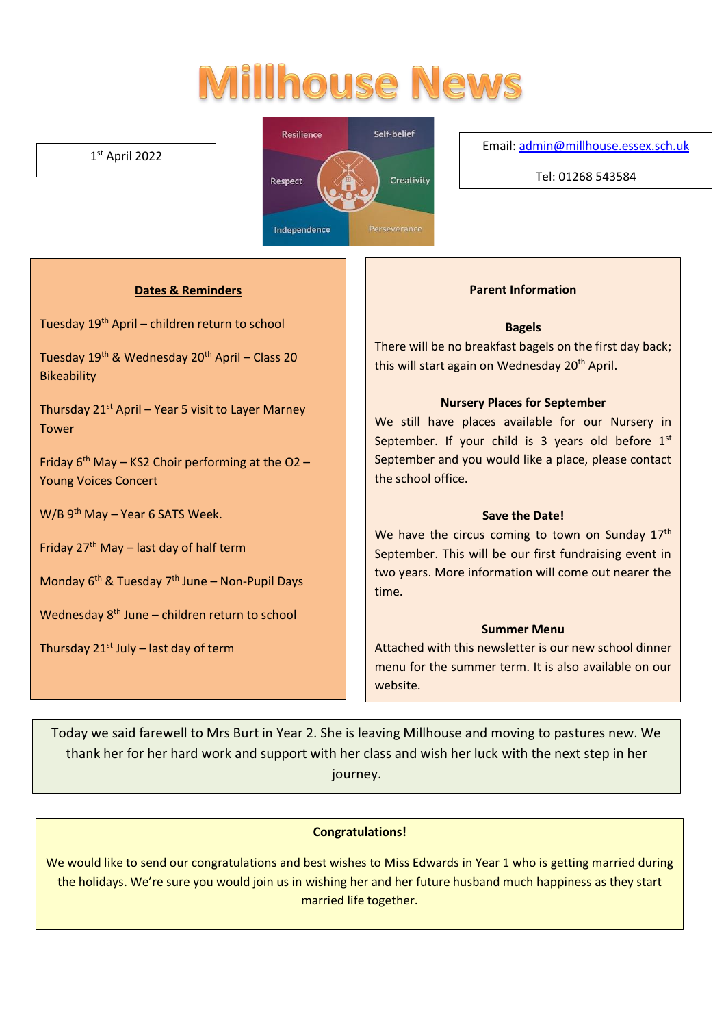# **Millhouse News**

#### 1 st April 2022



Email[: admin@millhouse.essex.sch.uk](mailto:admin@millhouse.essex.sch.uk)

Tel: 01268 543584

#### **Dates & Reminders**

Tuesday 19th April – children return to school

Tuesday  $19^{th}$  & Wednesday  $20^{th}$  April – Class 20 **Bikeability** 

Thursday  $21^{st}$  April – Year 5 visit to Layer Marney Tower

Friday  $6<sup>th</sup>$  May – KS2 Choir performing at the O2 – Young Voices Concert

W/B 9<sup>th</sup> May – Year 6 SATS Week.

Friday  $27<sup>th</sup>$  May – last day of half term

Monday  $6<sup>th</sup>$  & Tuesday 7<sup>th</sup> June – Non-Pupil Days

Wednesday 8<sup>th</sup> June – children return to school

Thursday  $21^{st}$  July – last day of term

#### **Parent Information**

#### **Bagels**

There will be no breakfast bagels on the first day back; this will start again on Wednesday 20<sup>th</sup> April.

#### **Nursery Places for September**

We still have places available for our Nursery in September. If your child is 3 years old before  $1<sup>st</sup>$ September and you would like a place, please contact the school office.

#### **Save the Date!**

We have the circus coming to town on Sunday 17<sup>th</sup> September. This will be our first fundraising event in two years. More information will come out nearer the time.

#### **Summer Menu**

Attached with this newsletter is our new school dinner menu for the summer term. It is also available on our website.

Today we said farewell to Mrs Burt in Year 2. She is leaving Millhouse and moving to pastures new. We thank her for her hard work and support with her class and wish her luck with the next step in her journey.

#### **Congratulations!**

We would like to send our congratulations and best wishes to Miss Edwards in Year 1 who is getting married during the holidays. We're sure you would join us in wishing her and her future husband much happiness as they start married life together.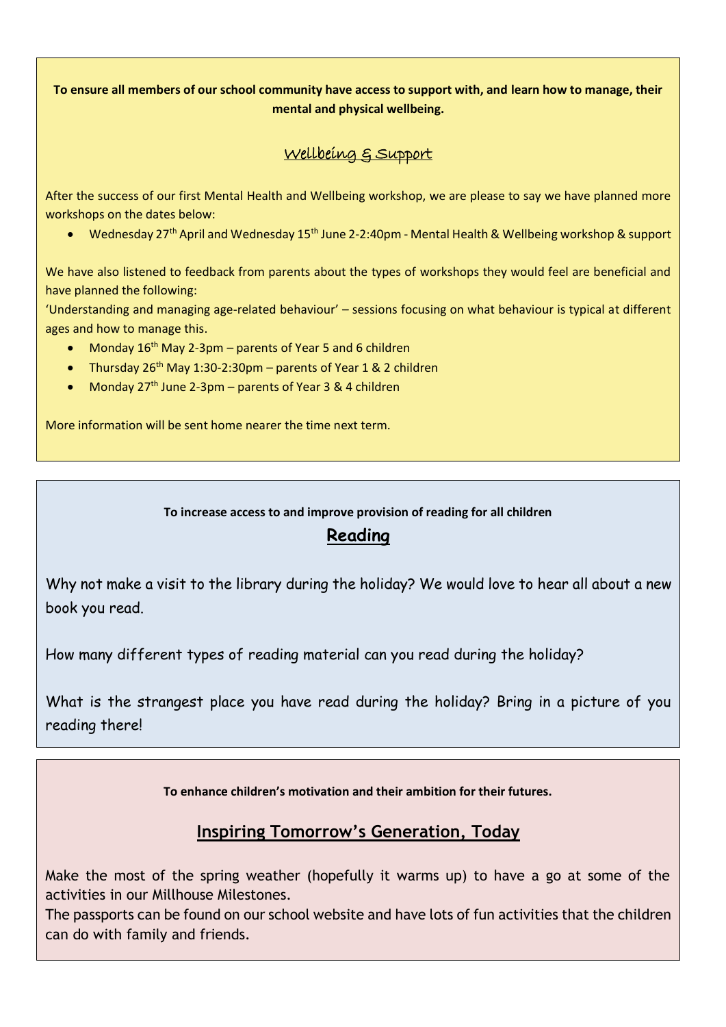#### **To ensure all members of our school community have access to support with, and learn how to manage, their mental and physical wellbeing.**

### Wellbeing & Support

After the success of our first Mental Health and Wellbeing workshop, we are please to say we have planned more workshops on the dates below:

• Wednesday 27<sup>th</sup> April and Wednesday 15<sup>th</sup> June 2-2:40pm - Mental Health & Wellbeing workshop & support

We have also listened to feedback from parents about the types of workshops they would feel are beneficial and have planned the following:

'Understanding and managing age-related behaviour' – sessions focusing on what behaviour is typical at different ages and how to manage this.

- Monday  $16^{th}$  May 2-3pm parents of Year 5 and 6 children
- Thursday  $26^{th}$  May 1:30-2:30pm parents of Year 1 & 2 children
- Monday  $27<sup>th</sup>$  June 2-3pm parents of Year 3 & 4 children

More information will be sent home nearer the time next term.

#### **To increase access to and improve provision of reading for all children**

# **Reading**

Why not make a visit to the library during the holiday? We would love to hear all about a new book you read.

How many different types of reading material can you read during the holiday?

What is the strangest place you have read during the holiday? Bring in a picture of you reading there!

**To enhance children's motivation and their ambition for their futures.** 

# **Inspiring Tomorrow's Generation, Today**

Make the most of the spring weather (hopefully it warms up) to have a go at some of the activities in our Millhouse Milestones.

The passports can be found on our school website and have lots of fun activities that the children can do with family and friends.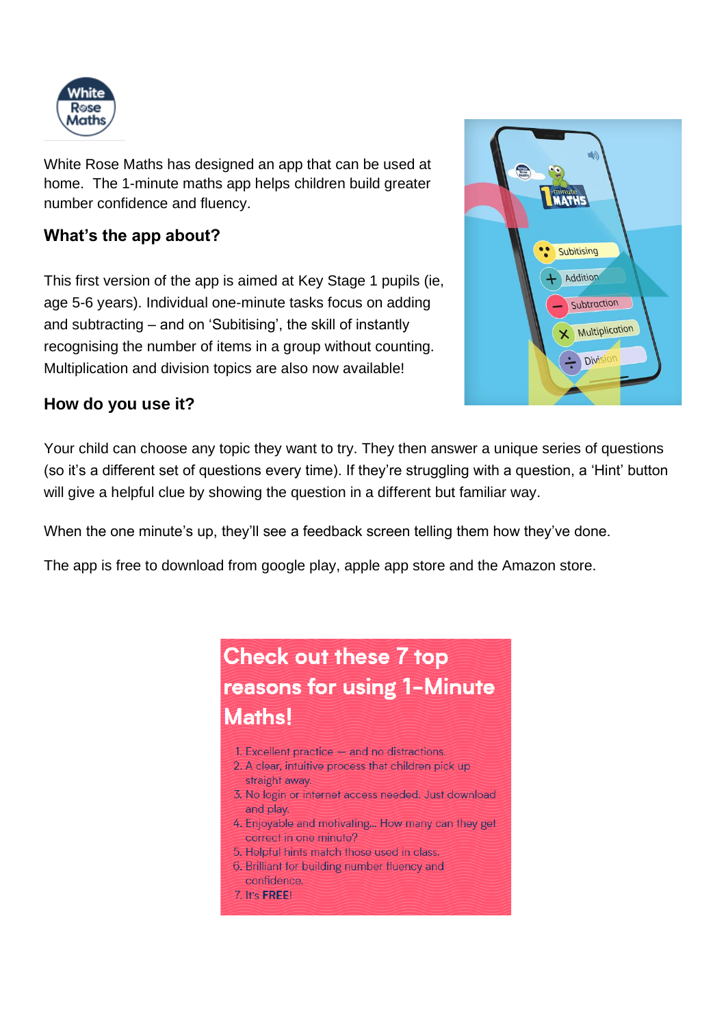

White Rose Maths has designed an app that can be used at home. The 1-minute maths app helps children build greater number confidence and fluency.

# **What's the app about?**

This first version of the app is aimed at Key Stage 1 pupils (ie, age 5-6 years). Individual one-minute tasks focus on adding and subtracting – and on 'Subitising', the skill of instantly recognising the number of items in a group without counting. Multiplication and division topics are also now available!



# **How do you use it?**

Your child can choose any topic they want to try. They then answer a unique series of questions (so it's a different set of questions every time). If they're struggling with a question, a 'Hint' button will give a helpful clue by showing the question in a different but familiar way.

When the one minute's up, they'll see a feedback screen telling them how they've done.

The app is free to download from google play, apple app store and the Amazon store.

# **Check out these 7 top** reasons for using 1-Minute Maths!

- 1. Excellent practice and no distractions.
- 2. A clear, intuitive process that children pick up straight away.
- 3. No login or internet access needed, Just download and play.
- 4. Enjoyable and motivating... How many can they get correct in one minute?
- 5. Helpful hints match those used in class.
- 6. Brilliant for building number fluency and confidence.
- 7. It's FREE!